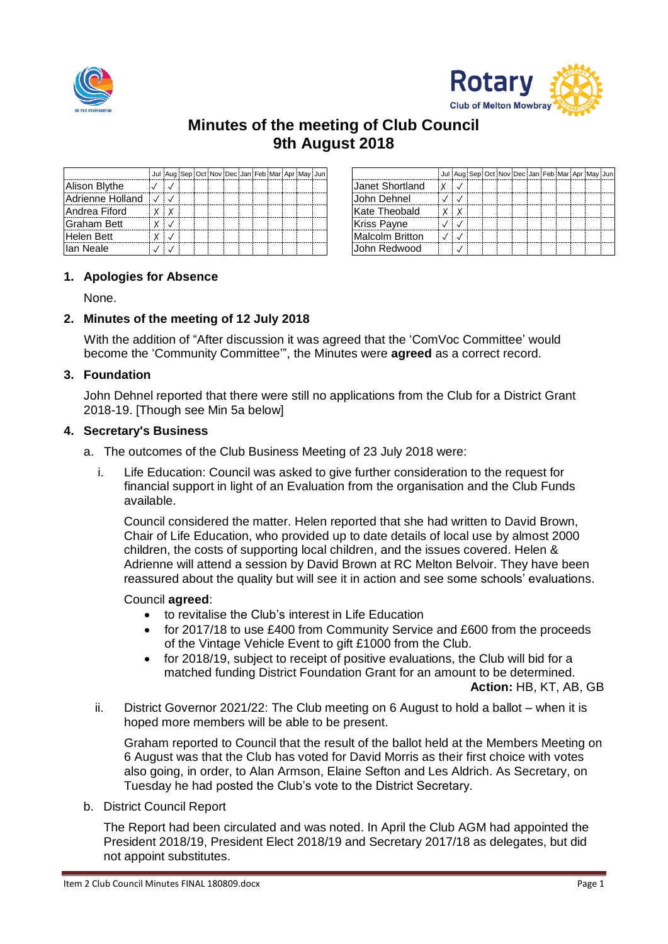



# **Minutes of the meeting of Club Council 9th August 2018**

|                  |              |  | Jul Aug Sep Oct Nov Dec Jan Feb Mar Apr May Jun |  |  |  |                    | Jul Au |
|------------------|--------------|--|-------------------------------------------------|--|--|--|--------------------|--------|
| Alison Blythe    |              |  |                                                 |  |  |  | Janet Shortland    |        |
| Adrienne Holland |              |  |                                                 |  |  |  | <b>John Dehnel</b> |        |
| Andrea Fiford    | $\mathsf{X}$ |  |                                                 |  |  |  | Kate Theobald      | ΙX     |
| Graham Bett      |              |  |                                                 |  |  |  | <b>Kriss Payne</b> |        |
| Helen Bett       |              |  |                                                 |  |  |  | Malcolm Britton    |        |
| llan Neale       |              |  |                                                 |  |  |  | Uohn Redwood       |        |

|            | Jul Aug Sep Oct Nov Dec Jan Feb Mar Apr May Jun |  |  |  |  |                        | Jul Aug Sep Oct Nov Dec Jan Feb Mar Apr May Jun |  |  |  |  |  |
|------------|-------------------------------------------------|--|--|--|--|------------------------|-------------------------------------------------|--|--|--|--|--|
|            |                                                 |  |  |  |  | Uanet Shortland        |                                                 |  |  |  |  |  |
|            |                                                 |  |  |  |  | John Dehnel            |                                                 |  |  |  |  |  |
| $X \mid X$ |                                                 |  |  |  |  | Kate Theobald          | $X \mid X$                                      |  |  |  |  |  |
| $X \cup$   |                                                 |  |  |  |  | <b>Kriss Payne</b>     |                                                 |  |  |  |  |  |
| $X \cup Y$ |                                                 |  |  |  |  | <b>Malcolm Britton</b> |                                                 |  |  |  |  |  |
|            |                                                 |  |  |  |  | IJohn Redwood          |                                                 |  |  |  |  |  |

# **1. Apologies for Absence**

None.

# **2. Minutes of the meeting of 12 July 2018**

With the addition of "After discussion it was agreed that the 'ComVoc Committee' would become the 'Community Committee'", the Minutes were **agreed** as a correct record.

#### **3. Foundation**

John Dehnel reported that there were still no applications from the Club for a District Grant 2018-19. [Though see Min 5a below]

#### **4. Secretary's Business**

- a. The outcomes of the Club Business Meeting of 23 July 2018 were:
	- i. Life Education: Council was asked to give further consideration to the request for financial support in light of an Evaluation from the organisation and the Club Funds available.

Council considered the matter. Helen reported that she had written to David Brown, Chair of Life Education, who provided up to date details of local use by almost 2000 children, the costs of supporting local children, and the issues covered. Helen & Adrienne will attend a session by David Brown at RC Melton Belvoir. They have been reassured about the quality but will see it in action and see some schools' evaluations.

#### Council **agreed**:

- to revitalise the Club's interest in Life Education
- for 2017/18 to use £400 from Community Service and £600 from the proceeds of the Vintage Vehicle Event to gift £1000 from the Club.
- for 2018/19, subject to receipt of positive evaluations, the Club will bid for a matched funding District Foundation Grant for an amount to be determined.

**Action:** HB, KT, AB, GB

ii. District Governor 2021/22: The Club meeting on 6 August to hold a ballot – when it is hoped more members will be able to be present.

Graham reported to Council that the result of the ballot held at the Members Meeting on 6 August was that the Club has voted for David Morris as their first choice with votes also going, in order, to Alan Armson, Elaine Sefton and Les Aldrich. As Secretary, on Tuesday he had posted the Club's vote to the District Secretary.

b. District Council Report

The Report had been circulated and was noted. In April the Club AGM had appointed the President 2018/19, President Elect 2018/19 and Secretary 2017/18 as delegates, but did not appoint substitutes.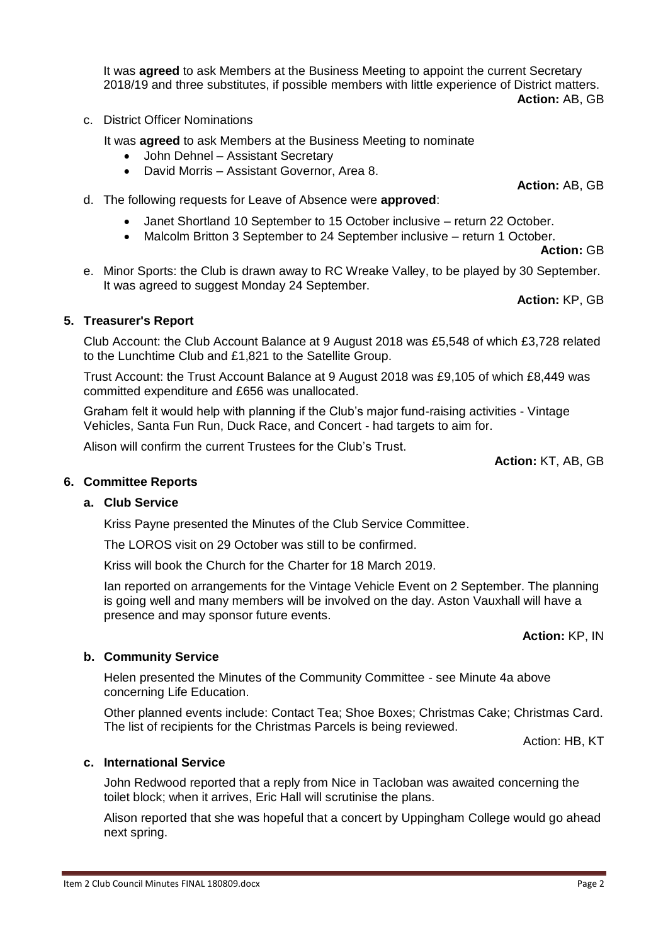It was **agreed** to ask Members at the Business Meeting to appoint the current Secretary 2018/19 and three substitutes, if possible members with little experience of District matters.

**Action:** AB, GB

c. District Officer Nominations

It was **agreed** to ask Members at the Business Meeting to nominate

- John Dehnel Assistant Secretary
- David Morris Assistant Governor, Area 8.
- d. The following requests for Leave of Absence were **approved**:
	- Janet Shortland 10 September to 15 October inclusive return 22 October.
	- Malcolm Britton 3 September to 24 September inclusive return 1 October.

**Action:** GB

e. Minor Sports: the Club is drawn away to RC Wreake Valley, to be played by 30 September. It was agreed to suggest Monday 24 September.

**Action:** KP, GB

# **5. Treasurer's Report**

Club Account: the Club Account Balance at 9 August 2018 was £5,548 of which £3,728 related to the Lunchtime Club and £1,821 to the Satellite Group.

Trust Account: the Trust Account Balance at 9 August 2018 was £9,105 of which £8,449 was committed expenditure and £656 was unallocated.

Graham felt it would help with planning if the Club's major fund-raising activities - Vintage Vehicles, Santa Fun Run, Duck Race, and Concert - had targets to aim for.

Alison will confirm the current Trustees for the Club's Trust.

**Action:** KT, AB, GB

#### **6. Committee Reports**

#### **a. Club Service**

Kriss Payne presented the Minutes of the Club Service Committee.

The LOROS visit on 29 October was still to be confirmed.

Kriss will book the Church for the Charter for 18 March 2019.

Ian reported on arrangements for the Vintage Vehicle Event on 2 September. The planning is going well and many members will be involved on the day. Aston Vauxhall will have a presence and may sponsor future events.

**Action:** KP, IN

#### **b. Community Service**

Helen presented the Minutes of the Community Committee - see Minute 4a above concerning Life Education.

Other planned events include: Contact Tea; Shoe Boxes; Christmas Cake; Christmas Card. The list of recipients for the Christmas Parcels is being reviewed.

Action: HB, KT

#### **c. International Service**

John Redwood reported that a reply from Nice in Tacloban was awaited concerning the toilet block; when it arrives, Eric Hall will scrutinise the plans.

Alison reported that she was hopeful that a concert by Uppingham College would go ahead next spring.

**Action:** AB, GB